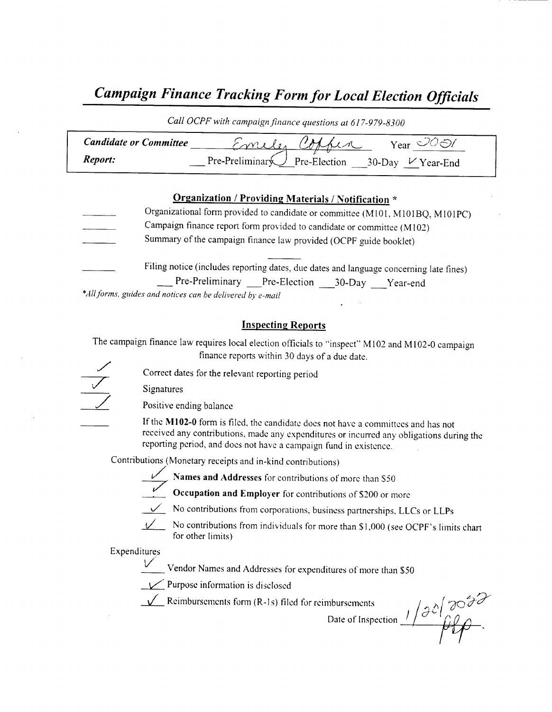Campaign Finance Tracking Form for Local Election Officials

|                               | Call OCPF with campaign finance questions at 617-979-8300 |        |                                                    |  |
|-------------------------------|-----------------------------------------------------------|--------|----------------------------------------------------|--|
| <b>Candidate or Committee</b> | Emiles                                                    | Coppen | Year $\heartsuit$                                  |  |
| Report:                       |                                                           |        | Pre-Preliminars Pre-Election __30-Day $V$ Year-End |  |

#### Organization / Providing Materials / Notification \*

Organizational form provided to candidate or committee ( M101, MIO1BQ, M101PC) Campaign finance report form provided to candidate or committee( M102) Summary of the campaign finance law provided (OCPF guide booklet)

Filing notice (includes reporting dates, due dates and language concerning late fines) Pre-Preliminary Pre-Election 30-Day Year-end

\*All forms, guides and notices can be delivered by e-mail

#### Inspecting Reports

The campaign finance law requires local election officials to "inspect" M102 and M102-0 campaign finance reports within 30 days of <sup>a</sup> due date.

7

Correct dates for the relevant reporting period

Signatures

Positive ending balance

If the M102-0 form is filed, the candidate does not have a committees and has not received any contributions, made any expenditures or incurred any obligations during the reporting period, and does not have a campaign fund in existence.

Contributions( Monetary receipts and in- kind contributions)



Names and Addresses for contributions of more than S50 Occupation and Employer for contributions of \$200 or more



No contributions from corporations, business partnerships, LLCs or LLPs

No contributions from individuals for more than \$1,000 (see OCPF's limits chart for other limits)

Expenditures

 $V$ Vendor Names and Addresses for expenditures of more than \$50

 $\sqrt{\ }$  Purpose information is disclosed

Reimbursements form (R-1s) filed for reimbursements

Date of Inspection  $1/30$ <br> $\theta$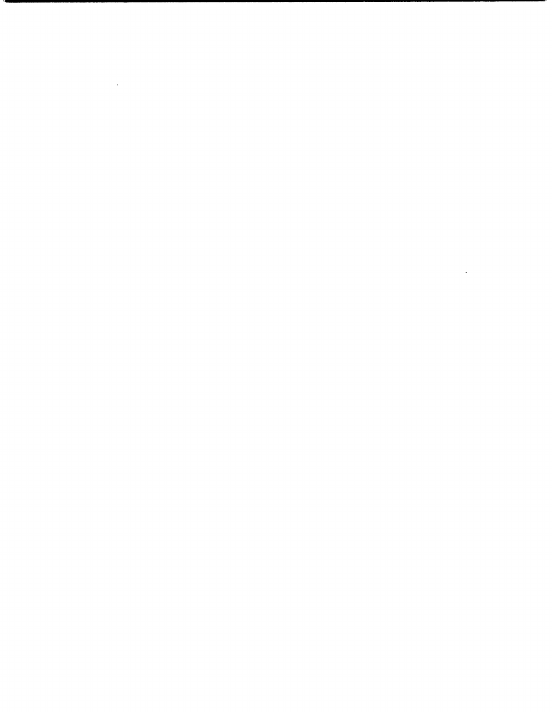$\label{eq:2.1} \frac{1}{\sqrt{2}}\int_{\mathbb{R}^3}\frac{1}{\sqrt{2}}\left(\frac{1}{\sqrt{2}}\right)^2\frac{1}{\sqrt{2}}\left(\frac{1}{\sqrt{2}}\right)^2\frac{1}{\sqrt{2}}\left(\frac{1}{\sqrt{2}}\right)^2\frac{1}{\sqrt{2}}\left(\frac{1}{\sqrt{2}}\right)^2.$  $\mathcal{L}(\mathcal{L})$  and  $\mathcal{L}(\mathcal{L})$  .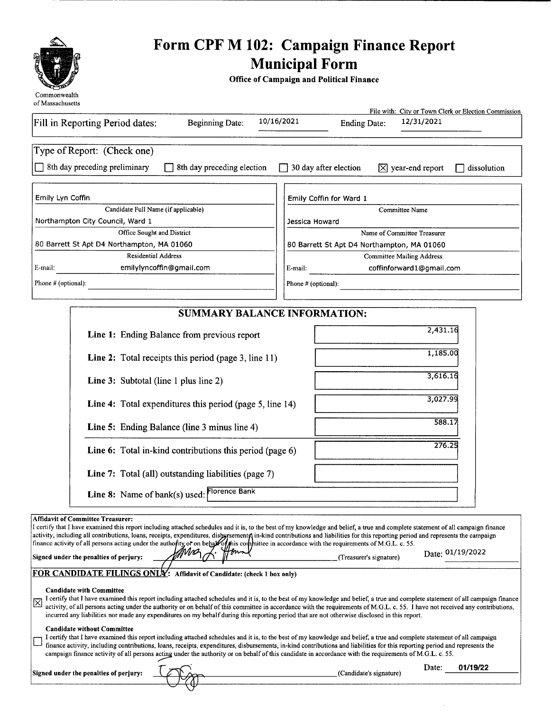

### Form CPF M 102: Campaign Finance Report **Municipal Form**

Office of Campaign and Political Finance

| of Massachusetts                                         |                            |                                     |                                            | File with: City or Town Clerk or Election Commission |  |
|----------------------------------------------------------|----------------------------|-------------------------------------|--------------------------------------------|------------------------------------------------------|--|
| Fill in Reporting Period dates:                          | <b>Beginning Date:</b>     | 10/16/2021                          | <b>Ending Date:</b>                        | 12/31/2021                                           |  |
| Type of Report: (Check one)                              |                            |                                     |                                            |                                                      |  |
| 3th day preceding preliminary                            | 8th day preceding election |                                     | 30 day after election                      | $\boxtimes$ year-end report<br>dissolution           |  |
| Emily Lyn Coffin                                         |                            |                                     | Emily Coffin for Ward 1                    |                                                      |  |
| Candidate Full Name (if applicable)                      |                            |                                     |                                            | Committee Name                                       |  |
| Northampton City Council, Ward 1                         |                            | Jessica Howard                      |                                            |                                                      |  |
| Office Sought and District                               |                            |                                     |                                            | Name of Committee Treasurer                          |  |
| 80 Barrett St Apt D4 Northampton, MA 01060               |                            |                                     | 80 Barrett St Apt D4 Northampton, MA 01060 |                                                      |  |
| <b>Residential Address</b>                               |                            |                                     |                                            | <b>Committee Mailing Address</b>                     |  |
| emilylyncoffin@gmail.com<br>E-mail:                      |                            | E-mail:                             |                                            | coffinforward1@gmail.com                             |  |
| Phone # (optional):                                      |                            | Phone # (optional):                 |                                            |                                                      |  |
|                                                          |                            | <b>SUMMARY BALANCE INFORMATION:</b> |                                            |                                                      |  |
| Line 1: Ending Balance from previous report              |                            |                                     |                                            | 2,431.16                                             |  |
| Line 2: Total receipts this period (page 3, line 11)     |                            |                                     |                                            | 1,185.00                                             |  |
| Line 3: Subtotal (line 1 plus line 2)                    |                            |                                     |                                            | 3,616.16                                             |  |
| Line 4: Total expenditures this period (page 5, line 14) |                            |                                     |                                            | 3,027.99                                             |  |
| Line 5: Ending Balance (line 3 minus line 4)             |                            |                                     |                                            | 588.17                                               |  |
| Line 6: Total in-kind contributions this period (page 6) |                            |                                     |                                            | 276.25                                               |  |
| Line 7: Total (all) outstanding liabilities (page 7)     |                            |                                     |                                            |                                                      |  |
| Line 8: Name of bank(s) used: Florence Bank              |                            |                                     |                                            |                                                      |  |

Affidavit of Committee Treasurer: <sup>I</sup> certify that I have examined this report including attached schedules and it is, to the best of my knowledge and belief, <sup>a</sup> true and complete statement of all campaign finance activity, including all contributions, loans, receipts, expenditures, disbursements in-kind contributions and liabilities for this reporting period and represents the campaigr<br>finance activity of all persons acting under t Signed under the penalties of perjury:  $\mathcal{M}^{M}$   $\wedge$   $\mathcal{H}^{m}$   $\wedge$   $\mathcal{H}^{m}$  (Treasurer's signature) Date: 01/19/2022 FOR CANDIDATE FILINGS ONLY: Affidavit of Candidate: (check 1 box only) Candidate with Committee I certify that I have examined this report including attached schedules and it is, to the best of my knowledge and belief, <sup>a</sup> true and complete statement of all campaign finance ⊠ activity, of all persons acting under the authority or on behalf of this committee in accordance with the requirements of M.G.L. c. 55. I have not received any contributions, incurred any liabilities nor made any expenditures on my behalf during this reporting period that are not otherwise disclosed in this report. Candidate without Committee I certify that I have examined this report including attached schedules and it is, to the best of my knowledge and belief, <sup>a</sup> true and complete statement of all campaign  $\Box$ finance activity, including contributions, loans, receipts, expenditures, disbursements, in- kind contributions and liabilities for this reporting period and represents the campaign finance activity of all persons acting under the authority or on behalf of this candidate in accordance with the requirements of M.G.L. c. 55. Date: 01/19/22

Signed under the penalties of perjury:  $\sqrt{N}$  .  $\sim$ 

 $\mathbb{Y}$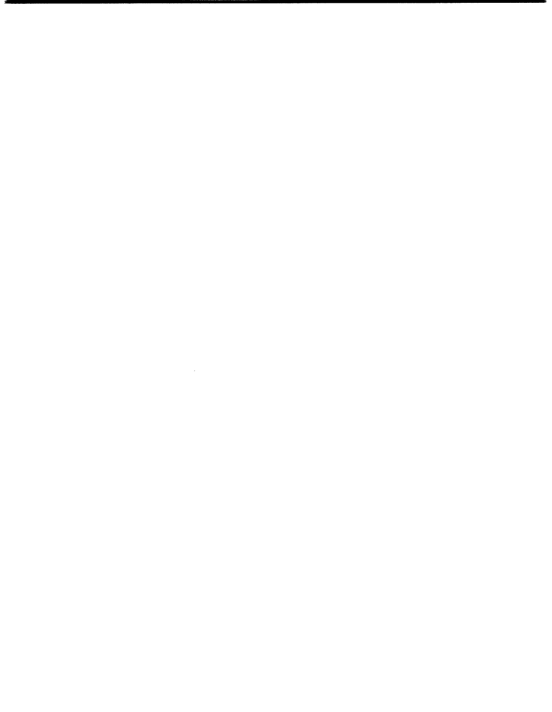$\label{eq:2.1} \frac{1}{\sqrt{2}}\int_{0}^{\infty}\frac{1}{\sqrt{2\pi}}\left(\frac{1}{\sqrt{2\pi}}\right)^{2\alpha} \frac{1}{\sqrt{2\pi}}\int_{0}^{\infty}\frac{1}{\sqrt{2\pi}}\left(\frac{1}{\sqrt{2\pi}}\right)^{\alpha} \frac{1}{\sqrt{2\pi}}\frac{1}{\sqrt{2\pi}}\int_{0}^{\infty}\frac{1}{\sqrt{2\pi}}\frac{1}{\sqrt{2\pi}}\frac{1}{\sqrt{2\pi}}\frac{1}{\sqrt{2\pi}}\frac{1}{\sqrt{2\pi}}\frac{1}{\sqrt{2\pi}}$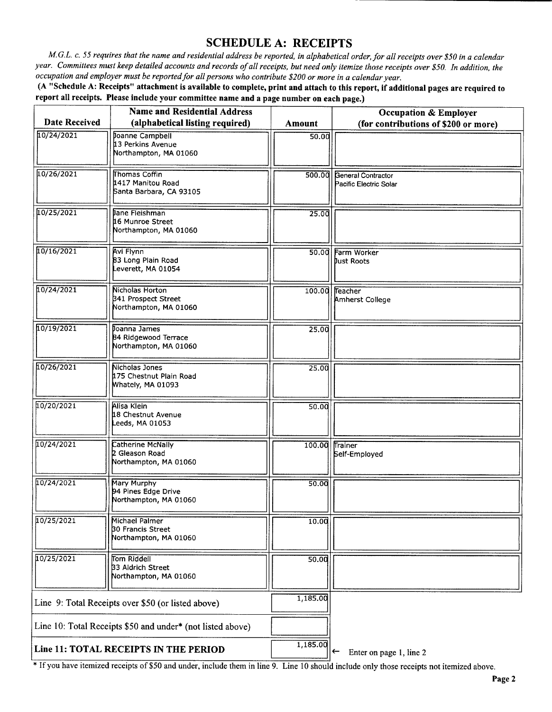#### SCHEDULE A: RECEIPTS

M.G.L. c. 55 requires that the name and residential address be reported, in alphabetical order, for all receipts over \$50 in a calendar year. Committees must keep detailed accounts and records of all receipts, but need only itemize those receipts over \$50. In addition, the occupation and employer must be reported for all persons who contribute \$200 or more in a calendar year.

A" Schedule A: Receipts" attachment is available to complete, print and attach to this report, if additional pages are required to report all receipts. Please include your committee name and a page number on each page.)

|                      | <b>Name and Residential Address</b>                                  |               | <b>Occupation &amp; Employer</b>             |
|----------------------|----------------------------------------------------------------------|---------------|----------------------------------------------|
| <b>Date Received</b> | (alphabetical listing required)                                      | <b>Amount</b> | (for contributions of \$200 or more)         |
| 10/24/2021           | <b>Joanne Campbell</b><br>13 Perkins Avenue<br>Northampton, MA 01060 | 50.00         |                                              |
| 10/26/2021           | Thomas Coffin<br>1417 Manitou Road<br>Santa Barbara, CA 93105        | 500.00        | General Contractor<br>Pacific Electric Solar |
| 10/25/2021           | <b>Jane Fleishman</b><br>16 Munroe Street<br>Northampton, MA 01060   | 25.00         |                                              |
| 10/16/2021           | <b>Avi Flynn</b><br>83 Long Plain Road<br>Leverett, MA 01054         | 50.00         | Farm Worker<br><b>Dust Roots</b>             |
| 10/24/2021           | Nicholas Horton<br>341 Prospect Street<br>Northampton, MA 01060      | 100.00        | Teacher<br>Amherst College                   |
| 10/19/2021           | Doanna James<br>84 Ridgewood Terrace<br>Northampton, MA 01060        | 25.00         |                                              |
| 10/26/2021           | Nicholas Jones<br>175 Chestnut Plain Road<br>Whately, MA 01093       | 25.00         |                                              |
| 10/20/2021           | Alisa Klein<br>18 Chestnut Avenue<br>Leeds, MA 01053                 | 50.00         |                                              |
| 10/24/2021           | <b>Catherine McNally</b><br>2 Gleason Road<br>Northampton, MA 01060  | 100.00        | Trainer<br>Self-Employed                     |
| 10/24/2021           | Mary Murphy<br>94 Pines Edge Drive<br>Northampton, MA 01060          | 50.00         |                                              |
| 10/25/2021           | Michael Palmer<br>30 Francis Street<br>Northampton, MA 01060         | 10.00         |                                              |
| 10/25/2021           | Tom Riddell<br>33 Aldrich Street<br>Northampton, MA 01060            | 50.00         |                                              |
|                      | Line 9: Total Receipts over \$50 (or listed above)                   | 1,185.00      |                                              |
|                      | Line 10: Total Receipts \$50 and under* (not listed above)           |               |                                              |
|                      | Line 11: TOTAL RECEIPTS IN THE PERIOD                                | 1,185.00      | $\leftarrow$<br>Enter on page 1, line 2      |

\* If you have itemized receipts of \$50 and under, include them in line 9. Line 10 should include only those receipts not itemized above.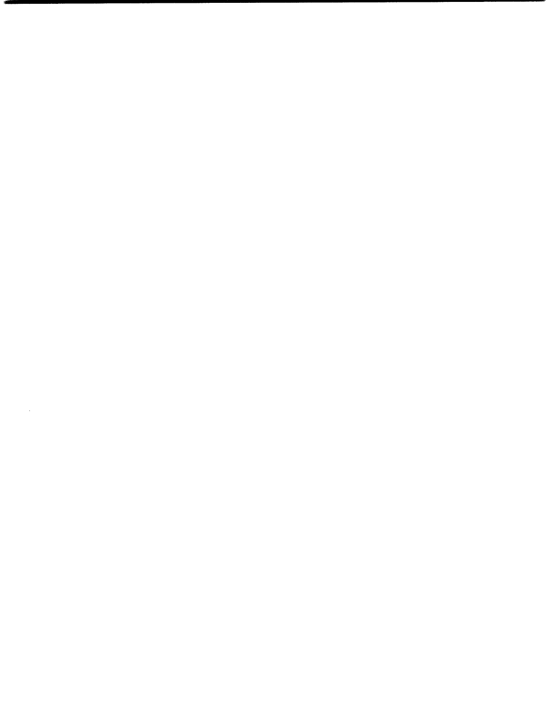$\label{eq:2.1} \frac{1}{\sqrt{2\pi}}\int_{0}^{\infty} \frac{1}{\sqrt{2\pi}}\left(\frac{1}{\sqrt{2\pi}}\right)^{2\alpha} \frac{1}{\sqrt{2\pi}}\frac{1}{\sqrt{2\pi}}\int_{0}^{\infty} \frac{1}{\sqrt{2\pi}}\frac{1}{\sqrt{2\pi}}\frac{1}{\sqrt{2\pi}}\frac{1}{\sqrt{2\pi}}\frac{1}{\sqrt{2\pi}}\frac{1}{\sqrt{2\pi}}\frac{1}{\sqrt{2\pi}}\frac{1}{\sqrt{2\pi}}\frac{1}{\sqrt{2\pi}}\frac{1}{\sqrt{2\pi}}\$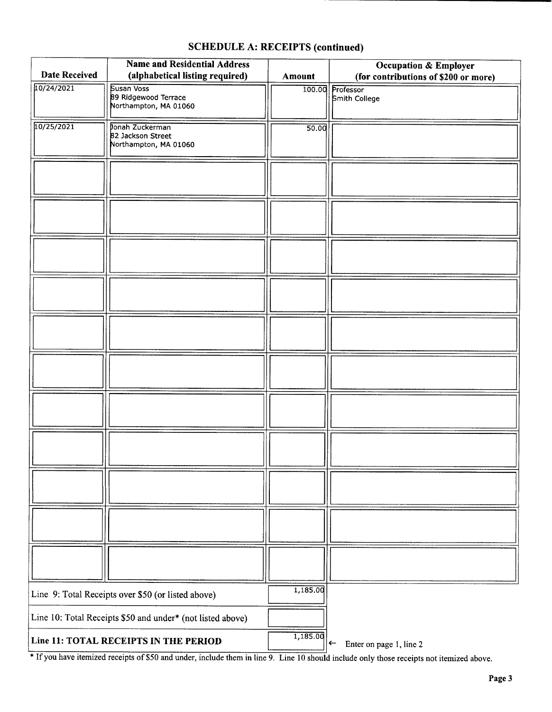|                                                    | <b>Name and Residential Address</b>                                |                       | <b>Occupation &amp; Employer</b>        |
|----------------------------------------------------|--------------------------------------------------------------------|-----------------------|-----------------------------------------|
| <b>Date Received</b>                               | (alphabetical listing required)                                    | Amount                | (for contributions of \$200 or more)    |
| 10/24/2021                                         | <b>Susan Voss</b><br>89 Ridgewood Terrace<br>Northampton, MA 01060 | 100.00                | Professor<br>Smith College              |
| 10/25/2021                                         | Donah Zuckerman<br>82 Jackson Street<br>Northampton, MA 01060      | 50.00                 |                                         |
|                                                    |                                                                    |                       |                                         |
|                                                    |                                                                    |                       |                                         |
|                                                    |                                                                    |                       |                                         |
|                                                    |                                                                    |                       |                                         |
|                                                    |                                                                    |                       |                                         |
|                                                    |                                                                    |                       |                                         |
|                                                    |                                                                    |                       |                                         |
|                                                    |                                                                    |                       |                                         |
|                                                    |                                                                    |                       |                                         |
|                                                    |                                                                    |                       |                                         |
|                                                    |                                                                    |                       |                                         |
| Line 9: Total Receipts over \$50 (or listed above) |                                                                    | 1,185.00              |                                         |
|                                                    | Line 10: Total Receipts \$50 and under* (not listed above)         |                       |                                         |
|                                                    | Line 11: TOTAL RECEIPTS IN THE PERIOD                              | $\overline{1,185.00}$ | $\leftarrow$<br>Enter on page 1, line 2 |

### SCHEDULE A: RECEIPTS (continued)

\* If you have itemized receipts of \$50 and under, include them in line 9. Line 10 should include only those receipts not itemized above.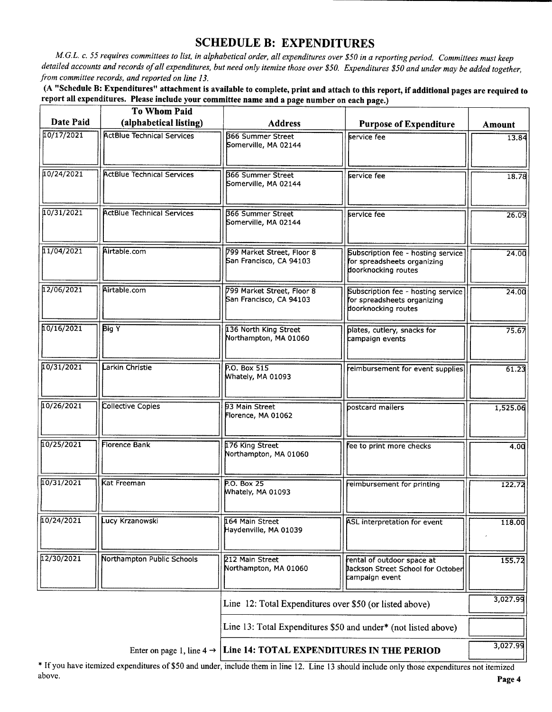#### SCHEDULE B: EXPENDITURES

M.G.L. c. 55 requires committees to list, in alphabetical order, all expenditures over\$ 50 in a reporting period. Committees must keep detailed accounts and records of all expenditures, but need only itemize those over \$50. Expenditures \$50 and under may be added together, from committee records, and reported on line 13.

A" Schedule B: Expenditures" attachment is available to complete, print and attach to this report, if additional pages are required to report all expenditures. Please include your committee name and a page number on each page.)

|            | <b>To Whom Paid</b>               |                                                                                 |                                                                                          |          |
|------------|-----------------------------------|---------------------------------------------------------------------------------|------------------------------------------------------------------------------------------|----------|
| Date Paid  | (alphabetical listing)            | <b>Address</b>                                                                  | <b>Purpose of Expenditure</b>                                                            | Amount   |
| 10/17/2021 | <b>ActBlue Technical Services</b> | <b>B66 Summer Street</b><br>Somerville, MA 02144                                | service fee                                                                              | 13.84    |
| 10/24/2021 | <b>ActBlue Technical Services</b> | <b>366 Summer Street</b><br>Somerville, MA 02144                                | service fee                                                                              | 18.78    |
| 10/31/2021 | <b>ActBlue Technical Services</b> | <b>366 Summer Street</b><br>Somerville, MA 02144                                | service fee                                                                              |          |
| 11/04/2021 | Airtable.com                      | 799 Market Street, Floor 8<br>San Francisco, CA 94103                           | Subscription fee - hosting service<br>for spreadsheets organizing<br>doorknocking routes | 24.00    |
| 12/06/2021 | Airtable.com                      | 799 Market Street, Floor 8<br>San Francisco, CA 94103                           | Subscription fee - hosting service<br>for spreadsheets organizing<br>doorknocking routes | 24.00    |
| 10/16/2021 | Big Y                             | 136 North King Street<br>Northampton, MA 01060                                  | plates, cutlery, snacks for<br>campaign events                                           | 75.67    |
| 10/31/2021 | Larkin Christie                   | P.O. Box 515<br>Whately, MA 01093                                               | reimbursement for event supplies                                                         | 61.23    |
| 10/26/2021 | <b>Collective Copies</b>          | 93 Main Street<br>Florence, MA 01062                                            | postcard mailers                                                                         | 1,525.06 |
| 10/25/2021 | <b>Florence Bank</b>              | 176 King Street<br>Northampton, MA 01060                                        | fee to print more checks                                                                 | 4.00     |
| 10/31/2021 | Kat Freeman                       | P.O. Box 25<br>Whately, MA 01093                                                | reimbursement for printing                                                               | 122,72   |
| 10/24/2021 | Lucy Krzanowski                   | 164 Main Street<br>Haydenville, MA 01039                                        | <b>ASL interpretation for event</b>                                                      | 118.00   |
| 12/30/2021 | Northampton Public Schools        | 212 Main Street<br>Northampton, MA 01060                                        | rental of outdoor space at<br>Dackson Street School for October<br>campaign event        | 155.72   |
|            |                                   | Line 12: Total Expenditures over \$50 (or listed above)                         |                                                                                          | 3,027.99 |
|            |                                   |                                                                                 | Line 13: Total Expenditures \$50 and under* (not listed above)                           |          |
|            |                                   | Enter on page 1, line $4 \rightarrow$ Line 14: TOTAL EXPENDITURES IN THE PERIOD |                                                                                          | 3,027.99 |

If you have itemized expenditures of\$50 and under, include them in line 12. Line <sup>13</sup> should include only those expenditures not itemized above. **Page 4**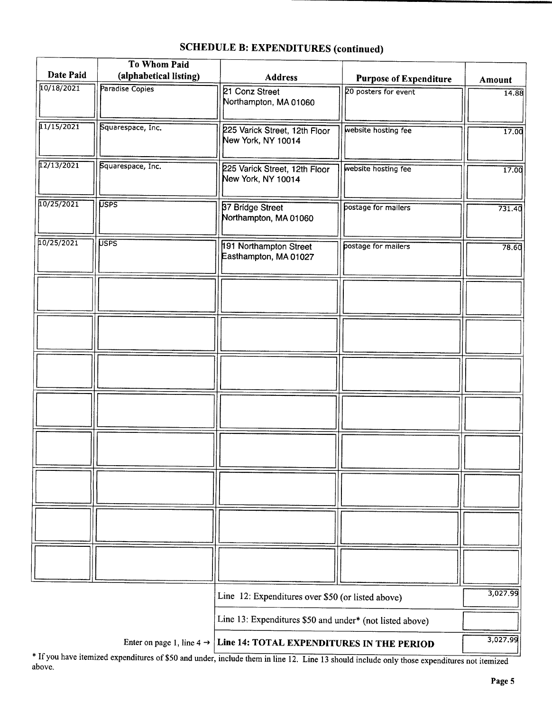|            | To Whom Paid           |                                                                                 |                               |          |
|------------|------------------------|---------------------------------------------------------------------------------|-------------------------------|----------|
| Date Paid  | (alphabetical listing) | <b>Address</b>                                                                  | <b>Purpose of Expenditure</b> | Amount   |
| 10/18/2021 | Paradise Copies        | 21 Conz Street<br>Northampton, MA 01060                                         | 20 posters for event          | 14.88    |
| 11/15/2021 | Squarespace, Inc.      | 225 Varick Street, 12th Floor<br>New York, NY 10014                             | website hosting fee           | 17.00    |
| 12/13/2021 | Squarespace, Inc.      | 225 Varick Street, 12th Floor<br>New York, NY 10014                             | website hosting fee           | 17.00    |
| 10/25/2021 | <b>USPS</b>            | <b>37 Bridge Street</b><br>Northampton, MA 01060                                | postage for mailers           | 731.40   |
| 10/25/2021 | <b>USPS</b>            | 191 Northampton Street<br>Easthampton, MA 01027                                 | postage for mailers           | 78.60    |
|            |                        |                                                                                 |                               |          |
|            |                        |                                                                                 |                               |          |
|            |                        |                                                                                 |                               |          |
|            |                        |                                                                                 |                               |          |
|            |                        |                                                                                 |                               |          |
|            |                        |                                                                                 |                               |          |
|            |                        |                                                                                 |                               |          |
|            |                        |                                                                                 |                               |          |
|            |                        | Line 12: Expenditures over \$50 (or listed above)                               |                               | 3,027.99 |
|            |                        | Line 13: Expenditures \$50 and under* (not listed above)                        |                               |          |
|            |                        | Enter on page 1, line $4 \rightarrow$ Line 14: TOTAL EXPENDITURES IN THE PERIOD |                               | 3,027.99 |

#### SCHEDULE B: EXPENDITURES (continued)

If you have itemized expenditures of \$50 and under, include them in line 12. Line 13 should include only those expenditures not itemized above.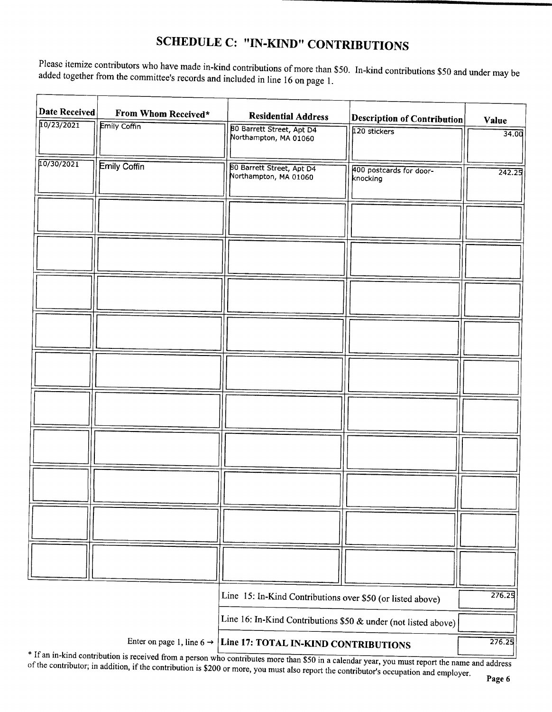### SCHEDULE C: " IN-KIND" CONTRIBUTIONS

Please itemize contributors who have made in-kind contributions of more than \$50. In-kind contributions \$50 and under may be added together from the committee's records and included in line 16 on page 1.

| Date Received | From Whom Received* | <b>Residential Address</b>                                                 | <b>Description of Contribution</b>                             | Value  |
|---------------|---------------------|----------------------------------------------------------------------------|----------------------------------------------------------------|--------|
| 10/23/2021    | <b>Emily Coffin</b> | 80 Barrett Street, Apt D4<br>Northampton, MA 01060                         | 120 stickers                                                   | 34.00  |
| 10/30/2021    | <b>Emily Coffin</b> | 80 Barrett Street, Apt D4<br>Northampton, MA 01060                         | 400 postcards for door-<br>knocking                            | 242.25 |
|               |                     |                                                                            |                                                                |        |
|               |                     |                                                                            |                                                                |        |
|               |                     |                                                                            |                                                                |        |
|               |                     |                                                                            |                                                                |        |
|               |                     |                                                                            |                                                                |        |
|               |                     |                                                                            |                                                                |        |
|               |                     |                                                                            |                                                                |        |
|               |                     |                                                                            |                                                                |        |
|               |                     |                                                                            |                                                                |        |
|               |                     |                                                                            |                                                                |        |
|               |                     | Line 15: In-Kind Contributions over \$50 (or listed above)                 |                                                                | 276.25 |
|               |                     |                                                                            | Line 16: In-Kind Contributions \$50 & under (not listed above) |        |
|               |                     | Enter on page 1, line $6 \rightarrow$ Line 17: TOTAL IN-KIND CONTRIBUTIONS |                                                                | 276.25 |

\* If an in-kind contribution is received from a person who contributes more than \$50 in a calendar year, you must report the name and address of the contributor; in addition, if the contribution is \$200 or more, you must also report the contributor's occupation and employer.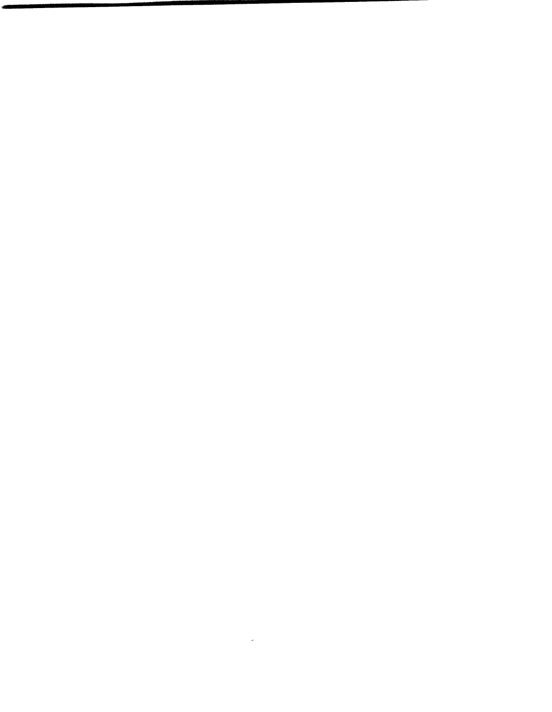$\label{eq:2.1} \frac{1}{\sqrt{2}}\left(\frac{1}{\sqrt{2}}\right)^{2} \left(\frac{1}{\sqrt{2}}\right)^{2} \left(\frac{1}{\sqrt{2}}\right)^{2} \left(\frac{1}{\sqrt{2}}\right)^{2} \left(\frac{1}{\sqrt{2}}\right)^{2} \left(\frac{1}{\sqrt{2}}\right)^{2} \left(\frac{1}{\sqrt{2}}\right)^{2} \left(\frac{1}{\sqrt{2}}\right)^{2} \left(\frac{1}{\sqrt{2}}\right)^{2} \left(\frac{1}{\sqrt{2}}\right)^{2} \left(\frac{1}{\sqrt{2}}\right)^{2} \left(\$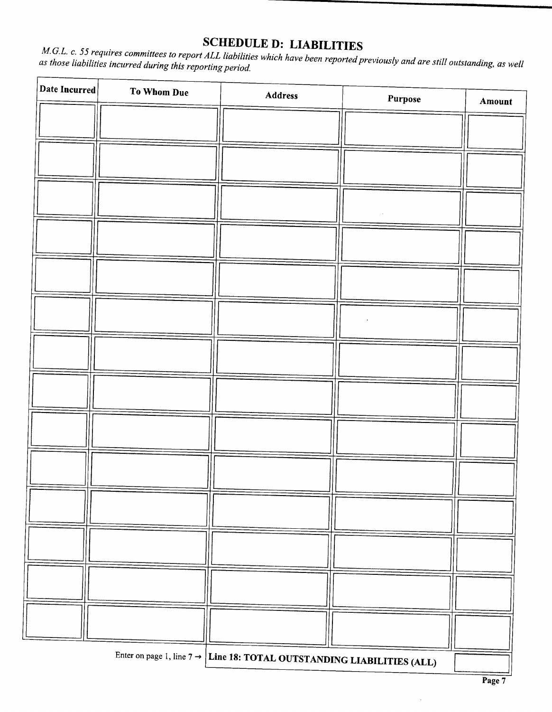## SCHEDULE D: LIABILITIES

M.G.L. c. 55 requires committees to report ALL liabilities which have been reported previously and are still outstanding, as well<br>as those liabilities incurred during this reporting period.

| Date Incurred | <b>To Whom Due</b> | Address                                                                            | Purpose | Amount |
|---------------|--------------------|------------------------------------------------------------------------------------|---------|--------|
|               |                    |                                                                                    |         |        |
|               |                    |                                                                                    |         |        |
|               |                    |                                                                                    |         |        |
|               |                    |                                                                                    |         |        |
|               |                    |                                                                                    |         |        |
|               |                    |                                                                                    |         |        |
|               |                    |                                                                                    |         |        |
|               |                    |                                                                                    |         |        |
|               |                    |                                                                                    |         |        |
|               |                    |                                                                                    |         |        |
|               |                    |                                                                                    |         |        |
|               |                    |                                                                                    |         |        |
|               |                    |                                                                                    |         |        |
|               |                    |                                                                                    |         |        |
|               |                    | Enter on page 1, line $7 \rightarrow$ Line 18: TOTAL OUTSTANDING LIABILITIES (ALL) |         |        |

 $\frac{L}{\Gamma}$ 

 $\sim$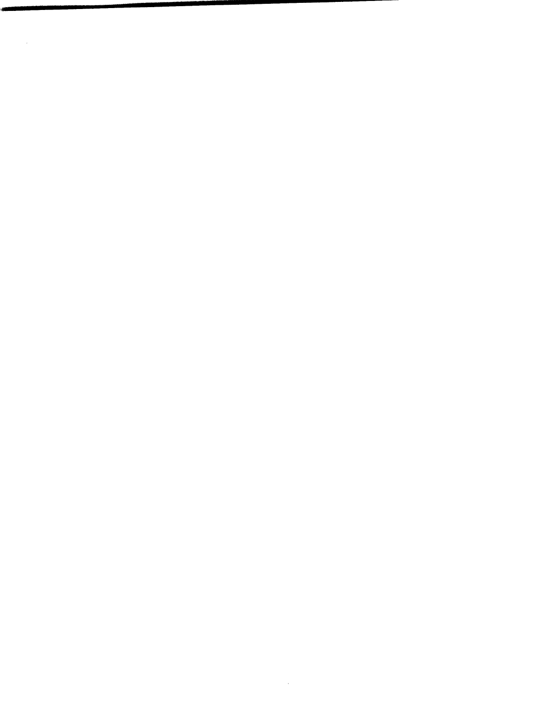$\label{eq:2.1} \frac{1}{\sqrt{2}}\int_{\mathbb{R}^3} \frac{1}{\sqrt{2}}\left(\frac{1}{\sqrt{2}}\right)^2\left(\frac{1}{\sqrt{2}}\right)^2\left(\frac{1}{\sqrt{2}}\right)^2\left(\frac{1}{\sqrt{2}}\right)^2.$ 

 $\label{eq:2} \frac{1}{\sqrt{2}}\left(\frac{1}{\sqrt{2}}\right)^{2} \left(\frac{1}{\sqrt{2}}\right)^{2} \left(\frac{1}{\sqrt{2}}\right)^{2} \left(\frac{1}{\sqrt{2}}\right)^{2} \left(\frac{1}{\sqrt{2}}\right)^{2} \left(\frac{1}{\sqrt{2}}\right)^{2} \left(\frac{1}{\sqrt{2}}\right)^{2} \left(\frac{1}{\sqrt{2}}\right)^{2} \left(\frac{1}{\sqrt{2}}\right)^{2} \left(\frac{1}{\sqrt{2}}\right)^{2} \left(\frac{1}{\sqrt{2}}\right)^{2} \left(\frac{$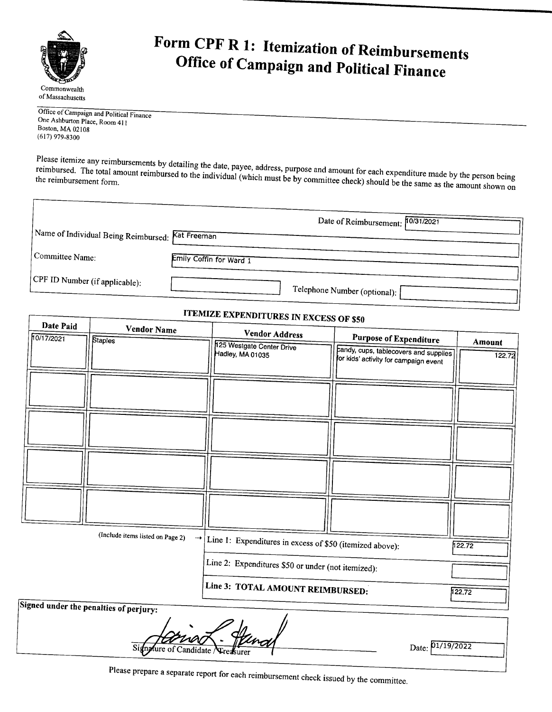

# Form CPF <sup>R</sup> 1: Itemization of Reimbursements Office of Campaign and Political Finance

Office of Campaign and Political Finance One Ashburton Place, Room 411 Boston, MA 02108 617) 979- 8300

Please itemize any reimbursements by detailing the date, payee, address, purpose and amount for each expenditure made by the person being reimbursed. The total amount reimbursed to the individual (which must be by committee check) should be the same as the amount shown on the reimbursement form. The reimbursement form.

|                                      | Date of Reimbursement: <sup>P</sup> | 10/31/2021 |
|--------------------------------------|-------------------------------------|------------|
| Name of Individual Being Reimbursed: | Kat Freeman                         |            |
| Committee Name:                      | Emily Coffin for Ward 1             |            |
| CPF ID Number (if applicable):       |                                     |            |
|                                      | Telephone Number (optional): I      |            |

### ITEMIZE EXPENDITURES IN EXCESS OF \$50

| Date Paid  | Vendor Name                            |                                                          |                                       |        |
|------------|----------------------------------------|----------------------------------------------------------|---------------------------------------|--------|
| 10/17/2021 | Staples                                | <b>Vendor Address</b>                                    | <b>Purpose of Expenditure</b>         | Amount |
|            |                                        | 125 Westgate Center Drive<br>Hadley, MA 01035            | candy, cups, tablecovers and supplies | 122.72 |
|            |                                        |                                                          | for kids' activity for campaign event |        |
|            |                                        |                                                          |                                       |        |
|            |                                        |                                                          |                                       |        |
|            |                                        |                                                          |                                       |        |
|            |                                        |                                                          |                                       |        |
|            |                                        |                                                          |                                       |        |
|            |                                        |                                                          |                                       |        |
|            |                                        |                                                          |                                       |        |
|            |                                        |                                                          |                                       |        |
|            |                                        |                                                          |                                       |        |
|            |                                        |                                                          |                                       |        |
|            |                                        |                                                          |                                       |        |
|            |                                        |                                                          |                                       |        |
|            |                                        |                                                          |                                       |        |
|            |                                        |                                                          |                                       |        |
|            | (Include items listed on Page 2)       | Line 1: Expenditures in excess of \$50 (itemized above): |                                       | 122.72 |
|            |                                        |                                                          |                                       |        |
|            |                                        | Line 2: Expenditures \$50 or under (not itemized):       |                                       |        |
|            |                                        |                                                          |                                       |        |
|            |                                        | Line 3: TOTAL AMOUNT REIMBURSED:                         |                                       | 122.72 |
|            | Signed under the penalties of perjury: |                                                          |                                       |        |
|            |                                        |                                                          |                                       |        |
|            |                                        |                                                          |                                       |        |
|            |                                        |                                                          |                                       |        |
|            | Signature of Candidate / Freasurer     |                                                          | p <sub>1/19/2022</sub><br>Date:       |        |

Please prepare <sup>a</sup> separate report for each reimbursement check issued by the committee.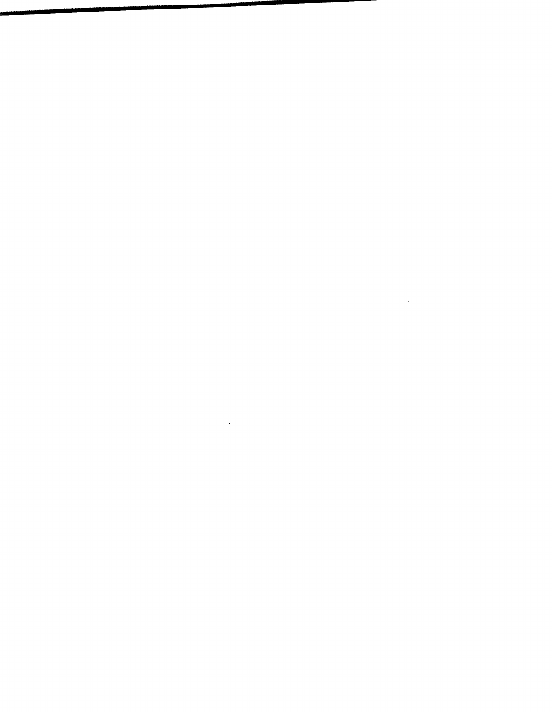$\label{eq:2.1} \mathcal{L}(\mathcal{L}^{\text{max}}_{\mathcal{L}}(\mathcal{L}^{\text{max}}_{\mathcal{L}}))\leq \mathcal{L}(\mathcal{L}^{\text{max}}_{\mathcal{L}}(\mathcal{L}^{\text{max}}_{\mathcal{L}}))$ 

 $\label{eq:2.1} \frac{1}{\sqrt{2}}\int_{\mathbb{R}^3}\frac{1}{\sqrt{2}}\left(\frac{1}{\sqrt{2}}\int_{\mathbb{R}^3}\frac{1}{\sqrt{2}}\left(\frac{1}{\sqrt{2}}\int_{\mathbb{R}^3}\frac{1}{\sqrt{2}}\right)\frac{1}{\sqrt{2}}\right)\frac{1}{\sqrt{2}}\,d\mu.$ 

 $\label{eq:2.1} \Delta_{\rm{max}} = \frac{1}{2} \sum_{i=1}^{N} \frac{1}{2} \sum_{i=1}^{N} \frac{1}{2} \sum_{i=1}^{N} \frac{1}{2} \sum_{i=1}^{N} \frac{1}{2} \sum_{i=1}^{N} \frac{1}{2} \sum_{i=1}^{N} \frac{1}{2} \sum_{i=1}^{N} \frac{1}{2} \sum_{i=1}^{N} \frac{1}{2} \sum_{i=1}^{N} \frac{1}{2} \sum_{i=1}^{N} \frac{1}{2} \sum_{i=1}^{N} \frac{1}{2} \sum_{i=1}^{$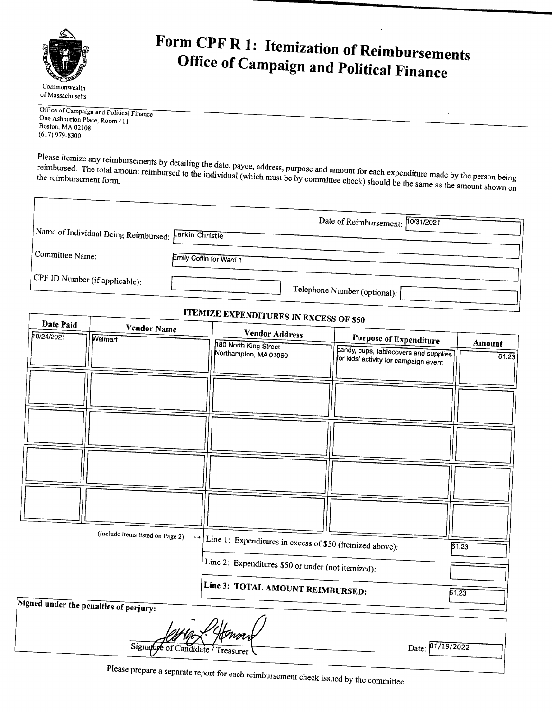

# Form CPF R 1: Itemization of Reimbursements Office of Campaign and Political Finance

|                                  | <u> Estados de la contrada de la contrada de la contrada de la contrada de la contrada de la contrada de la contrada de la contrada de la contrada de la contrada de la contrada de la contrada de la contrada de la contrada de</u>                                                                                                                                                                                                                                                  |  |  |  |
|----------------------------------|---------------------------------------------------------------------------------------------------------------------------------------------------------------------------------------------------------------------------------------------------------------------------------------------------------------------------------------------------------------------------------------------------------------------------------------------------------------------------------------|--|--|--|
| Contractor                       | Form CPF R 1: Itemization of Reimbursements<br>Office of Campaign and Political Finance                                                                                                                                                                                                                                                                                                                                                                                               |  |  |  |
| Commonwealth<br>of Massachusetts |                                                                                                                                                                                                                                                                                                                                                                                                                                                                                       |  |  |  |
|                                  | Office of Campaign and Political Finance<br>One Ashburton Place, Room 411<br>Boston, MA 02108<br>(617) 979-8300<br>$\begin{picture}(150,10) \put(0,0){\vector(1,0){100}} \put(15,0){\vector(1,0){100}} \put(15,0){\vector(1,0){100}} \put(15,0){\vector(1,0){100}} \put(15,0){\vector(1,0){100}} \put(15,0){\vector(1,0){100}} \put(15,0){\vector(1,0){100}} \put(15,0){\vector(1,0){100}} \put(15,0){\vector(1,0){100}} \put(15,0){\vector(1,0){100}} \put(15,0){\vector(1,0){100}}$ |  |  |  |
|                                  | Please itemize any reimbursements by detailing the date, payee, address, purpose and amount for each expenditure made by the person being<br>reimbursed. The total amount reimbursed to the individual (which must be by committe                                                                                                                                                                                                                                                     |  |  |  |
|                                  | $Date of Reimbursement: \boxed{10/31/2021}$<br>Name of Individual Being Reimbursed: Farkin Christie                                                                                                                                                                                                                                                                                                                                                                                   |  |  |  |
| Committee Name:                  | Emily Coffin for Ward 1                                                                                                                                                                                                                                                                                                                                                                                                                                                               |  |  |  |
| $CPF$ ID Number (if applicable): | Telephone Number (optional):<br>ITEMIZE EXPENDITURES IN EXCESS OF \$50                                                                                                                                                                                                                                                                                                                                                                                                                |  |  |  |
|                                  | Date Paid<br>Vendor Name<br>Vendor Address<br>Vendor Address<br>Vendor Address<br>Vendor Address<br>Vendor Address<br>Vendor Address<br>Purpose of Expenditure                                                                                                                                                                                                                                                                                                                        |  |  |  |

## ITEMIZE EXPENDITURES IN EXCESS OF \$50

| Date Paid  | <b>Vendor Name</b>                     | <b>Vendor Address</b>                                    |                                       |        |
|------------|----------------------------------------|----------------------------------------------------------|---------------------------------------|--------|
| 10/24/2021 | Walmart                                | 180 North King Street                                    | <b>Purpose of Expenditure</b>         | Amount |
|            |                                        | Northampton, MA 01060                                    | candy, cups, tablecovers and supplies |        |
|            |                                        |                                                          | for kids' activity for campaign event | 61.23  |
|            |                                        |                                                          |                                       |        |
|            |                                        |                                                          |                                       |        |
|            |                                        |                                                          |                                       |        |
|            |                                        |                                                          |                                       |        |
|            |                                        |                                                          |                                       |        |
|            |                                        |                                                          |                                       |        |
|            |                                        |                                                          |                                       |        |
|            |                                        |                                                          |                                       |        |
|            |                                        |                                                          |                                       |        |
|            |                                        |                                                          |                                       |        |
|            |                                        |                                                          |                                       |        |
|            |                                        |                                                          |                                       |        |
|            |                                        |                                                          |                                       |        |
|            |                                        |                                                          |                                       |        |
|            | (Include items listed on Page 2)<br>⇢  | Line 1: Expenditures in excess of \$50 (itemized above): |                                       | 61.23  |
|            |                                        |                                                          |                                       |        |
|            |                                        | Line 2: Expenditures \$50 or under (not itemized):       |                                       |        |
|            |                                        |                                                          |                                       |        |
|            |                                        | Line 3: TOTAL AMOUNT REIMBURSED:                         |                                       | 61.23  |
|            | Signed under the penalties of perjury: |                                                          |                                       |        |
|            |                                        |                                                          |                                       |        |
|            |                                        |                                                          |                                       |        |
|            |                                        |                                                          |                                       |        |
|            | Signafure of Candidate / Treasurer     |                                                          | Date: 01/19/2022                      |        |

Please prepare a separate report for each reimbursement check issued by the committee